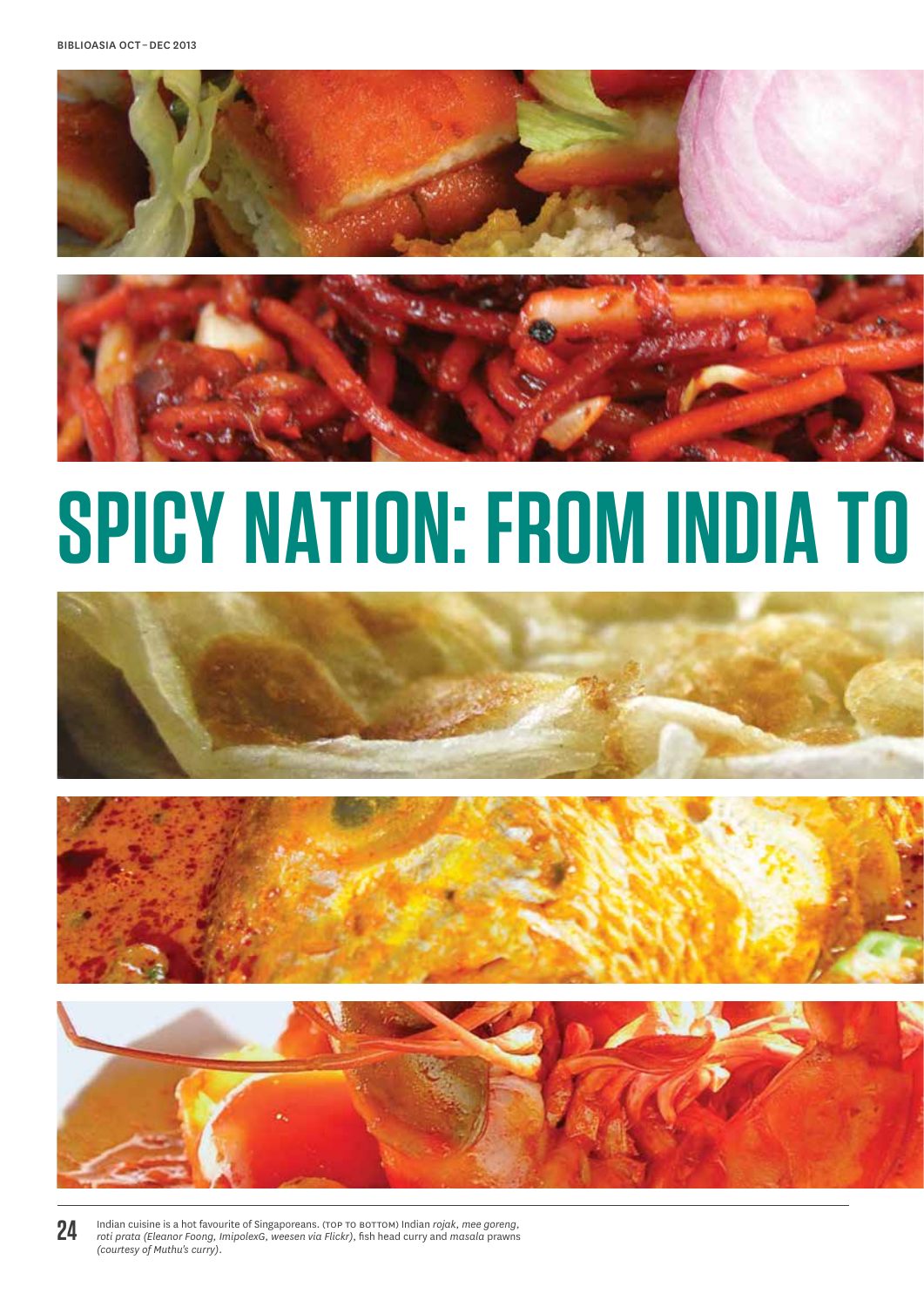



# **SPICY NATION: FROM INDIA TO**







**24**

Indian cuisine is a hot favourite of Singaporeans. (top to bottom) Indian *rojak*, *mee goreng*, *roti prata (Eleanor Foong, ImipolexG, weesen via Flickr)*, fish head curry and *masala* prawns *(courtesy of Muthu's curry)*.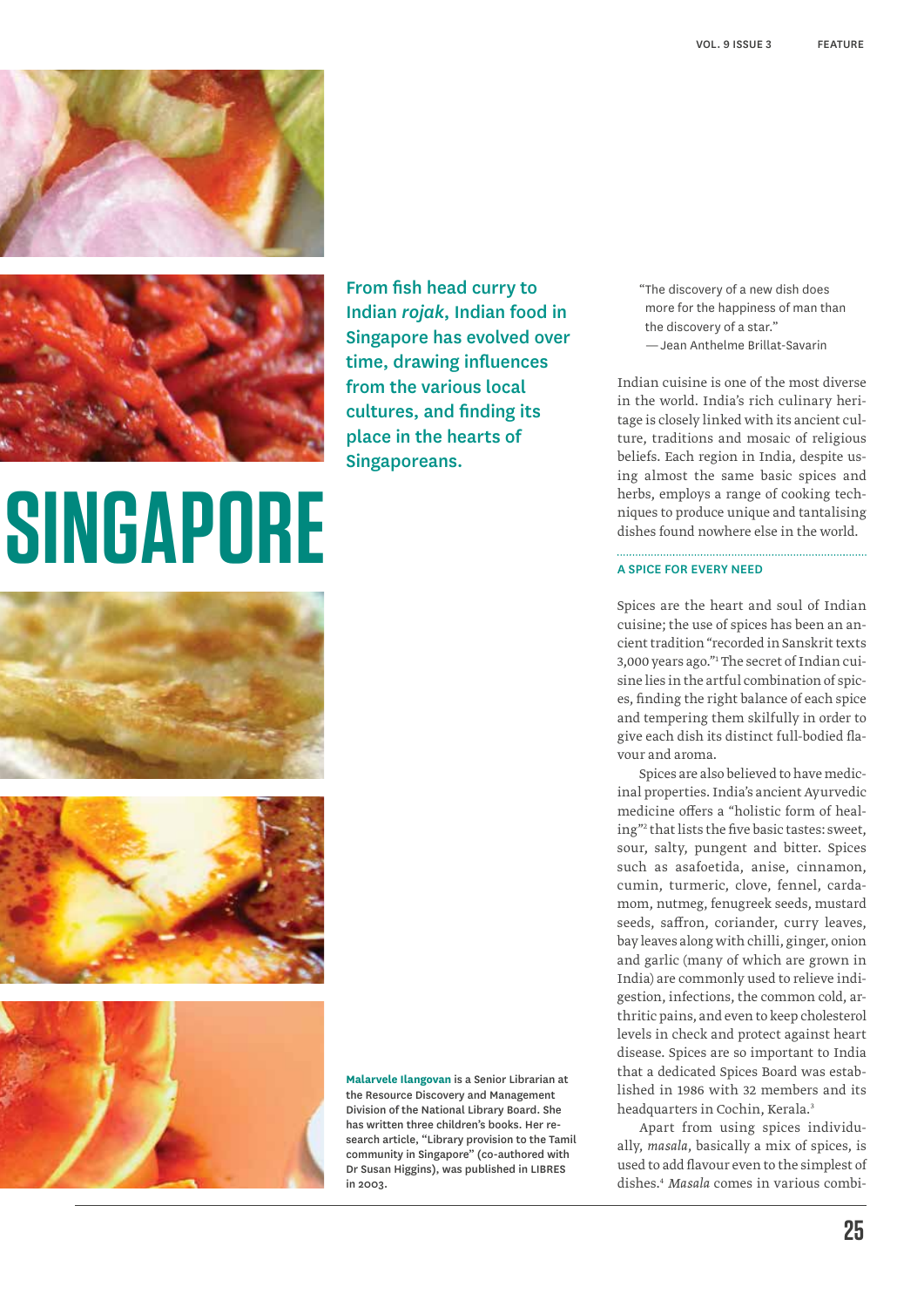



From fish head curry to Indian *rojak*, Indian food in Singapore has evolved over time, drawing influences from the various local cultures, and finding its place in the hearts of Singaporeans.

## **SINGAPORE**







**Malarvele Ilangovan** is a Senior Librarian at the Resource Discovery and Management Division of the National Library Board. She has written three children's books. Her research article, "Library provision to the Tamil community in Singapore" (co-authored with Dr Susan Higgins), was published in LIBRES in 2003.

"The discovery of a new dish does more for the happiness of man than the discovery of a star." — Jean Anthelme Brillat-Savarin

Indian cuisine is one of the most diverse in the world. India's rich culinary heritage is closely linked with its ancient culture, traditions and mosaic of religious beliefs. Each region in India, despite using almost the same basic spices and herbs, employs a range of cooking techniques to produce unique and tantalising dishes found nowhere else in the world.

#### A Spice for Every Need

Spices are the heart and soul of Indian cuisine; the use of spices has been an ancient tradition "recorded in Sanskrit texts 3,000 years ago."1 The secret of Indian cuisine lies in the artful combination of spices, finding the right balance of each spice and tempering them skilfully in order to give each dish its distinct full-bodied flavour and aroma.

Spices are also believed to have medicinal properties. India's ancient Ayurvedic medicine offers a "holistic form of healing"2 that lists the five basic tastes: sweet, sour, salty, pungent and bitter. Spices such as asafoetida, anise, cinnamon, cumin, turmeric, clove, fennel, cardamom, nutmeg, fenugreek seeds, mustard seeds, saffron, coriander, curry leaves, bay leaves along with chilli, ginger, onion and garlic (many of which are grown in India) are commonly used to relieve indigestion, infections, the common cold, arthritic pains, and even to keep cholesterol levels in check and protect against heart disease. Spices are so important to India that a dedicated Spices Board was established in 1986 with 32 members and its headquarters in Cochin, Kerala.<sup>3</sup>

Apart from using spices individually, *masala*, basically a mix of spices, is used to add flavour even to the simplest of dishes.4 *Masala* comes in various combi-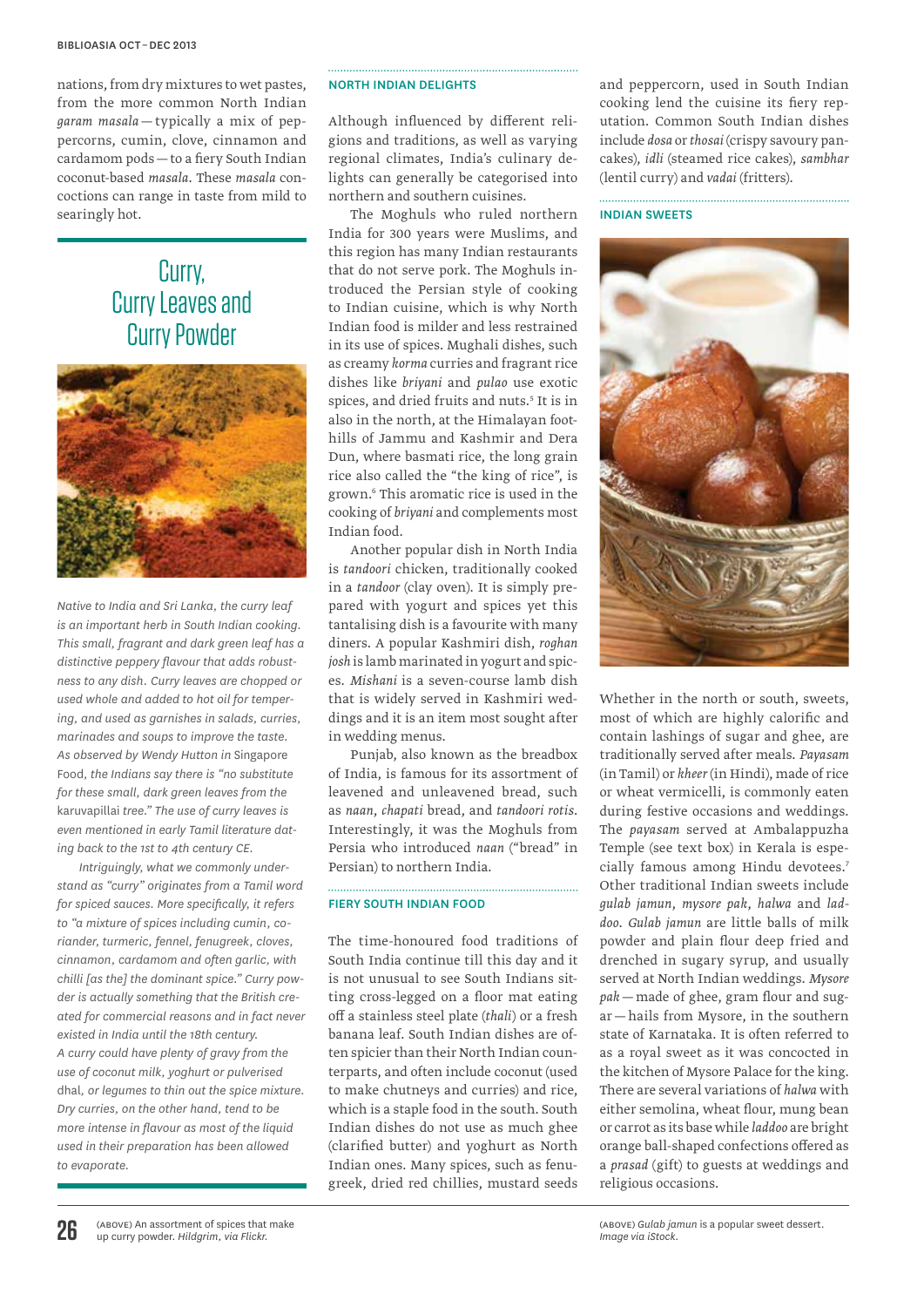nations, from dry mixtures to wet pastes, from the more common North Indian *garam masala* — typically a mix of peppercorns, cumin, clove, cinnamon and cardamom pods—to a fiery South Indian coconut-based *masala*. These *masala* concoctions can range in taste from mild to searingly hot.

## Curry, Curry Leaves and Curry Powder



*Native to India and Sri Lanka, the curry leaf is an important herb in South Indian cooking. This small, fragrant and dark green leaf has a distinctive peppery flavour that adds robustness to any dish. Curry leaves are chopped or used whole and added to hot oil for tempering, and used as garnishes in salads, curries, marinades and soups to improve the taste. As observed by Wendy Hutton in* Singapore Food*, the Indians say there is "no substitute for these small, dark green leaves from the*  karuvapillai *tree." The use of curry leaves is even mentioned in early Tamil literature dating back to the 1st to 4th century CE.*

*Intriguingly, what we commonly understand as "curry" originates from a Tamil word for spiced sauces. More specifically, it refers to "a mixture of spices including cumin, coriander, turmeric, fennel, fenugreek, cloves, cinnamon, cardamom and often garlic, with chilli [as the] the dominant spice." Curry powder is actually something that the British created for commercial reasons and in fact never existed in India until the 18th century. A curry could have plenty of gravy from the use of coconut milk, yoghurt or pulverised*  dhal*, or legumes to thin out the spice mixture. Dry curries, on the other hand, tend to be more intense in flavour as most of the liquid used in their preparation has been allowed to evaporate.*

#### North Indian delights

Although influenced by different religions and traditions, as well as varying regional climates, India's culinary delights can generally be categorised into northern and southern cuisines.

The Moghuls who ruled northern India for 300 years were Muslims, and this region has many Indian restaurants that do not serve pork. The Moghuls introduced the Persian style of cooking to Indian cuisine, which is why North Indian food is milder and less restrained in its use of spices. Mughali dishes, such as creamy *korma* curries and fragrant rice dishes like *briyani* and *pulao* use exotic spices, and dried fruits and nuts.<sup>5</sup> It is in also in the north, at the Himalayan foothills of Jammu and Kashmir and Dera Dun, where basmati rice, the long grain rice also called the "the king of rice", is grown.6 This aromatic rice is used in the cooking of *briyani* and complements most Indian food.

Another popular dish in North India is *tandoori* chicken, traditionally cooked in a *tandoor* (clay oven). It is simply prepared with yogurt and spices yet this tantalising dish is a favourite with many diners. A popular Kashmiri dish, *roghan josh* is lamb marinated in yogurt and spices. *Mishani* is a seven-course lamb dish that is widely served in Kashmiri weddings and it is an item most sought after in wedding menus.

Punjab, also known as the breadbox of India, is famous for its assortment of leavened and unleavened bread, such as *naan*, *chapati* bread, and *tandoori rotis*. Interestingly, it was the Moghuls from Persia who introduced *naan* ("bread" in Persian) to northern India.

#### Fiery South Indian food

The time-honoured food traditions of South India continue till this day and it is not unusual to see South Indians sitting cross-legged on a floor mat eating off a stainless steel plate (*thali*) or a fresh banana leaf. South Indian dishes are often spicier than their North Indian counterparts, and often include coconut (used to make chutneys and curries) and rice, which is a staple food in the south. South Indian dishes do not use as much ghee (clarified butter) and yoghurt as North Indian ones. Many spices, such as fenugreek, dried red chillies, mustard seeds and peppercorn, used in South Indian cooking lend the cuisine its fiery reputation. Common South Indian dishes include *dosa* or *thosai* (crispy savoury pancakes), *idli* (steamed rice cakes), *sambhar* (lentil curry) and *vadai* (fritters).

Indian Sweets



Whether in the north or south, sweets, most of which are highly calorific and contain lashings of sugar and ghee, are traditionally served after meals. *Payasam* (in Tamil) or *kheer* (in Hindi), made of rice or wheat vermicelli, is commonly eaten during festive occasions and weddings. The *payasam* served at Ambalappuzha Temple (see text box) in Kerala is especially famous among Hindu devotees.7 Other traditional Indian sweets include *gulab jamun*, *mysore pak*, *halwa* and *laddoo*. *Gulab jamun* are little balls of milk powder and plain flour deep fried and drenched in sugary syrup, and usually served at North Indian weddings. *Mysore pak*—made of ghee, gram flour and sugar—hails from Mysore, in the southern state of Karnataka. It is often referred to as a royal sweet as it was concocted in the kitchen of Mysore Palace for the king. There are several variations of *halwa* with either semolina, wheat flour, mung bean or carrot as its base while *laddoo* are bright orange ball-shaped confections offered as a *prasad* (gift) to guests at weddings and religious occasions.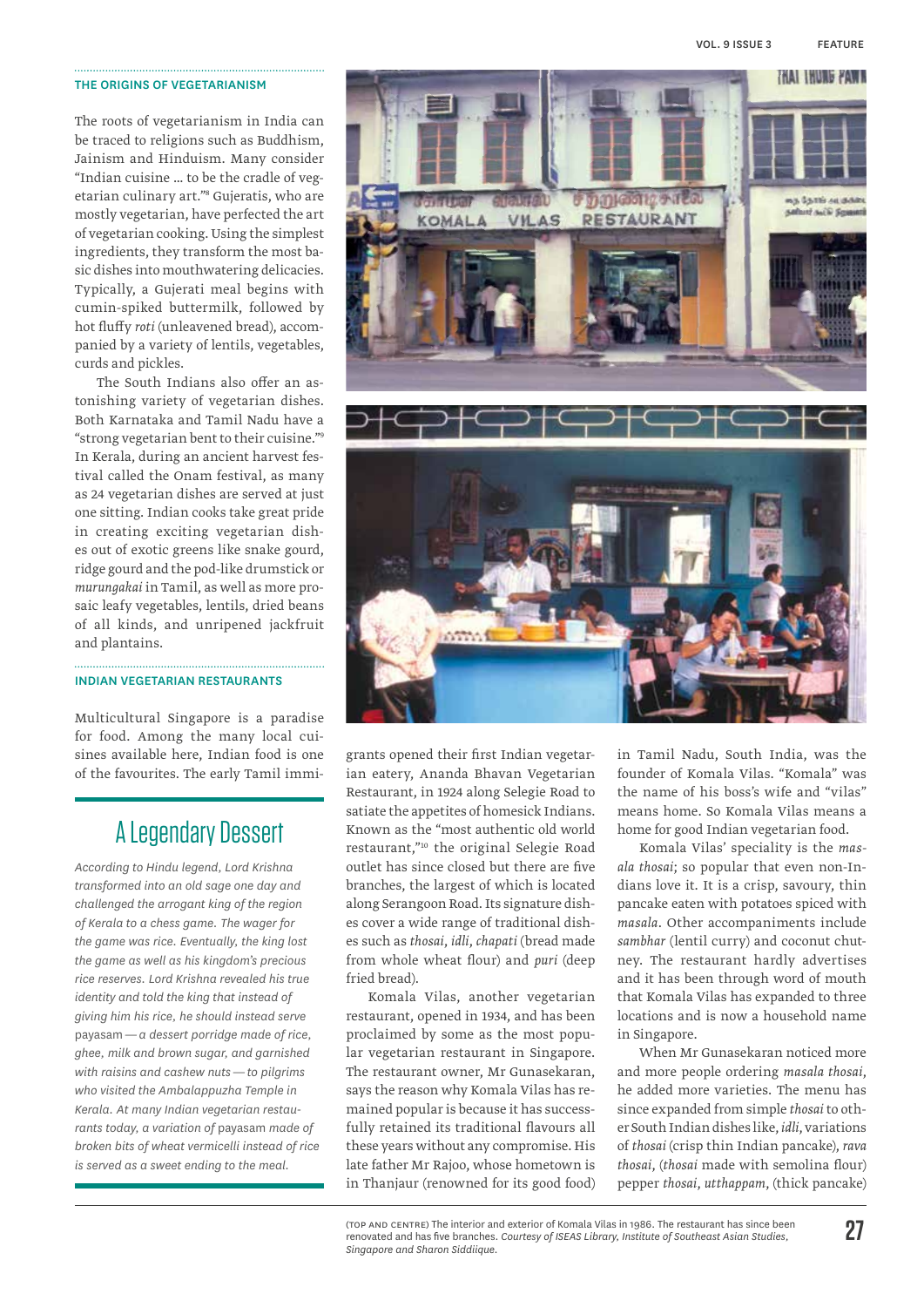#### The origins of vegetarianism

The roots of vegetarianism in India can be traced to religions such as Buddhism, Jainism and Hinduism. Many consider "Indian cuisine … to be the cradle of vegetarian culinary art."8 Gujeratis, who are mostly vegetarian, have perfected the art of vegetarian cooking. Using the simplest ingredients, they transform the most basic dishes into mouthwatering delicacies. Typically, a Gujerati meal begins with cumin-spiked buttermilk, followed by hot fluffy *roti* (unleavened bread), accompanied by a variety of lentils, vegetables, curds and pickles.

The South Indians also offer an astonishing variety of vegetarian dishes. Both Karnataka and Tamil Nadu have a "strong vegetarian bent to their cuisine."9 In Kerala, during an ancient harvest festival called the Onam festival, as many as 24 vegetarian dishes are served at just one sitting. Indian cooks take great pride in creating exciting vegetarian dishes out of exotic greens like snake gourd, ridge gourd and the pod-like drumstick or *murungakai* in Tamil, as well as more prosaic leafy vegetables, lentils, dried beans of all kinds, and unripened jackfruit and plantains.

#### Indian vegetarian restaurants

Multicultural Singapore is a paradise for food. Among the many local cuisines available here, Indian food is one of the favourites. The early Tamil immi-

## A Legendary Dessert

*According to Hindu legend, Lord Krishna transformed into an old sage one day and challenged the arrogant king of the region of Kerala to a chess game. The wager for the game was rice. Eventually, the king lost the game as well as his kingdom's precious rice reserves. Lord Krishna revealed his true identity and told the king that instead of giving him his rice, he should instead serve*  payasam*— a dessert porridge made of rice, ghee, milk and brown sugar, and garnished with raisins and cashew nuts — to pilgrims who visited the Ambalappuzha Temple in Kerala. At many Indian vegetarian restaurants today, a variation of* payasam *made of broken bits of wheat vermicelli instead of rice is served as a sweet ending to the meal.*



grants opened their first Indian vegetarian eatery, Ananda Bhavan Vegetarian Restaurant, in 1924 along Selegie Road to satiate the appetites of homesick Indians. Known as the "most authentic old world restaurant,"10 the original Selegie Road outlet has since closed but there are five branches, the largest of which is located along Serangoon Road. Its signature dishes cover a wide range of traditional dishes such as *thosai*, *idli*, *chapati* (bread made from whole wheat flour) and *puri* (deep fried bread).

Komala Vilas, another vegetarian restaurant, opened in 1934, and has been proclaimed by some as the most popular vegetarian restaurant in Singapore. The restaurant owner, Mr Gunasekaran, says the reason why Komala Vilas has remained popular is because it has successfully retained its traditional flavours all these years without any compromise. His late father Mr Rajoo, whose hometown is in Thanjaur (renowned for its good food) in Tamil Nadu, South India, was the founder of Komala Vilas. "Komala" was the name of his boss's wife and "vilas" means home. So Komala Vilas means a home for good Indian vegetarian food.

Komala Vilas' speciality is the *masala thosai*; so popular that even non-Indians love it. It is a crisp, savoury, thin pancake eaten with potatoes spiced with *masala*. Other accompaniments include *sambhar* (lentil curry) and coconut chutney. The restaurant hardly advertises and it has been through word of mouth that Komala Vilas has expanded to three locations and is now a household name in Singapore.

When Mr Gunasekaran noticed more and more people ordering *masala thosai*, he added more varieties. The menu has since expanded from simple *thosai* to other South Indian dishes like, *idli*, variations of *thosai* (crisp thin Indian pancake), *rava thosai*, (*thosai* made with semolina flour) pepper *thosai*, *utthappam*, (thick pancake)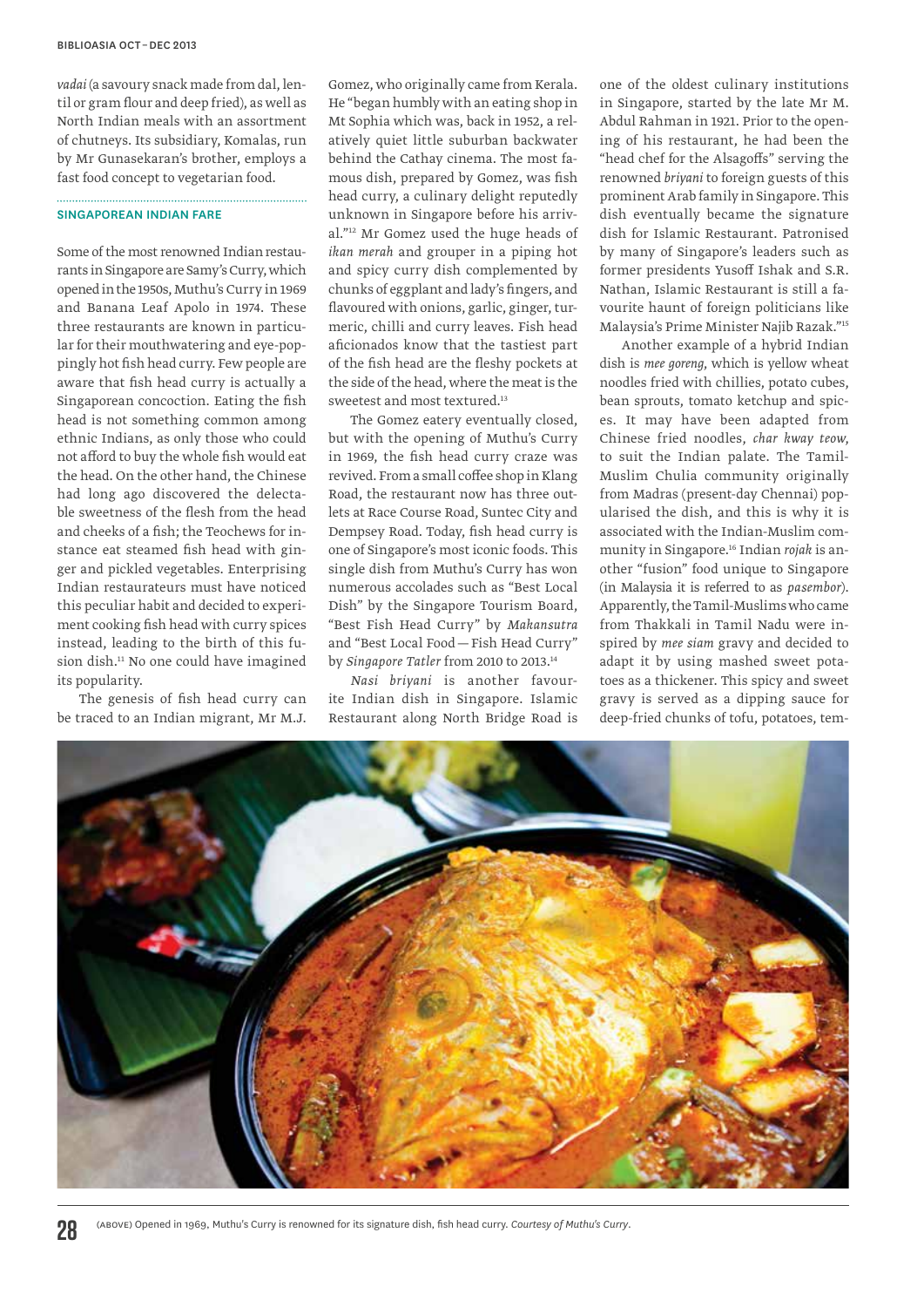*vadai* (a savoury snack made from dal, lentil or gram flour and deep fried), as well as North Indian meals with an assortment of chutneys. Its subsidiary, Komalas, run by Mr Gunasekaran's brother, employs a fast food concept to vegetarian food.

#### Singaporean Indian fare

Some of the most renowned Indian restaurants in Singapore are Samy's Curry, which opened in the 1950s, Muthu's Curry in 1969 and Banana Leaf Apolo in 1974. These three restaurants are known in particular for their mouthwatering and eye-poppingly hot fish head curry. Few people are aware that fish head curry is actually a Singaporean concoction. Eating the fish head is not something common among ethnic Indians, as only those who could not afford to buy the whole fish would eat the head. On the other hand, the Chinese had long ago discovered the delectable sweetness of the flesh from the head and cheeks of a fish; the Teochews for instance eat steamed fish head with ginger and pickled vegetables. Enterprising Indian restaurateurs must have noticed this peculiar habit and decided to experiment cooking fish head with curry spices instead, leading to the birth of this fusion dish.11 No one could have imagined its popularity.

The genesis of fish head curry can be traced to an Indian migrant, Mr M.J.

Gomez, who originally came from Kerala. He "began humbly with an eating shop in Mt Sophia which was, back in 1952, a relatively quiet little suburban backwater behind the Cathay cinema. The most famous dish, prepared by Gomez, was fish head curry, a culinary delight reputedly unknown in Singapore before his arrival."12 Mr Gomez used the huge heads of *ikan merah* and grouper in a piping hot and spicy curry dish complemented by chunks of eggplant and lady's fingers, and flavoured with onions, garlic, ginger, turmeric, chilli and curry leaves. Fish head aficionados know that the tastiest part of the fish head are the fleshy pockets at the side of the head, where the meat is the sweetest and most textured.<sup>13</sup>

The Gomez eatery eventually closed, but with the opening of Muthu's Curry in 1969, the fish head curry craze was revived. From a small coffee shop in Klang Road, the restaurant now has three outlets at Race Course Road, Suntec City and Dempsey Road. Today, fish head curry is one of Singapore's most iconic foods. This single dish from Muthu's Curry has won numerous accolades such as "Best Local Dish" by the Singapore Tourism Board, "Best Fish Head Curry" by *Makansutra*  and "Best Local Food—Fish Head Curry" by *Singapore Tatler* from 2010 to 2013.14

*Nasi briyani* is another favourite Indian dish in Singapore. Islamic Restaurant along North Bridge Road is

one of the oldest culinary institutions in Singapore, started by the late Mr M. Abdul Rahman in 1921. Prior to the opening of his restaurant, he had been the "head chef for the Alsagoffs" serving the renowned *briyani* to foreign guests of this prominent Arab family in Singapore. This dish eventually became the signature dish for Islamic Restaurant. Patronised by many of Singapore's leaders such as former presidents Yusoff Ishak and S.R. Nathan, Islamic Restaurant is still a favourite haunt of foreign politicians like Malaysia's Prime Minister Najib Razak."15

Another example of a hybrid Indian dish is *mee goreng*, which is yellow wheat noodles fried with chillies, potato cubes, bean sprouts, tomato ketchup and spices. It may have been adapted from Chinese fried noodles, *char kway teow*, to suit the Indian palate. The Tamil-Muslim Chulia community originally from Madras (present-day Chennai) popularised the dish, and this is why it is associated with the Indian-Muslim community in Singapore.16 Indian *rojak* is another "fusion" food unique to Singapore (in Malaysia it is referred to as *pasembor*). Apparently, the Tamil-Muslims who came from Thakkali in Tamil Nadu were inspired by *mee siam* gravy and decided to adapt it by using mashed sweet potatoes as a thickener. This spicy and sweet gravy is served as a dipping sauce for deep-fried chunks of tofu, potatoes, tem-